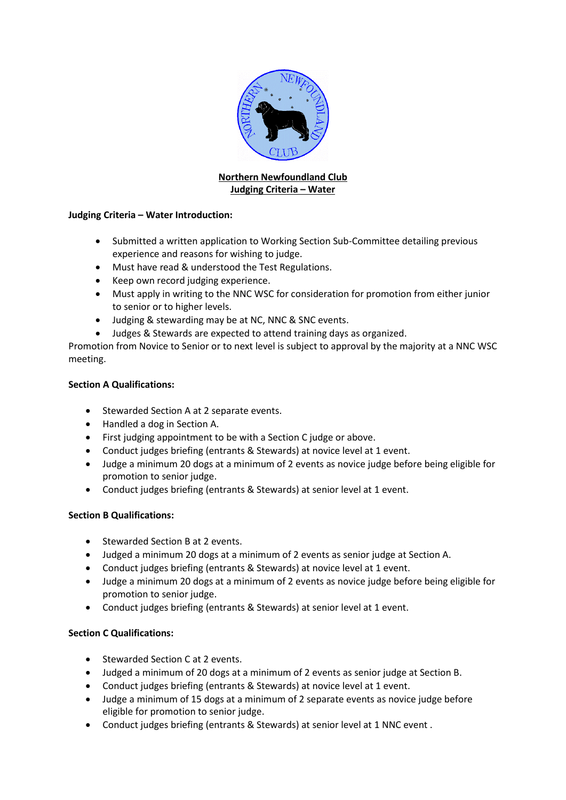

# **Northern Newfoundland Club Judging Criteria – Water**

## **Judging Criteria – Water Introduction:**

- Submitted a written application to Working Section Sub-Committee detailing previous experience and reasons for wishing to judge.
- Must have read & understood the Test Regulations.
- Keep own record judging experience.
- Must apply in writing to the NNC WSC for consideration for promotion from either junior to senior or to higher levels.
- Judging & stewarding may be at NC, NNC & SNC events.
- Judges & Stewards are expected to attend training days as organized.

Promotion from Novice to Senior or to next level is subject to approval by the majority at a NNC WSC meeting.

## **Section A Qualifications:**

- Stewarded Section A at 2 separate events.
- Handled a dog in Section A.
- First judging appointment to be with a Section C judge or above.
- Conduct judges briefing (entrants & Stewards) at novice level at 1 event.
- Judge a minimum 20 dogs at a minimum of 2 events as novice judge before being eligible for promotion to senior judge.
- Conduct judges briefing (entrants & Stewards) at senior level at 1 event.

## **Section B Qualifications:**

- Stewarded Section B at 2 events.
- Judged a minimum 20 dogs at a minimum of 2 events as senior judge at Section A.
- Conduct judges briefing (entrants & Stewards) at novice level at 1 event.
- Judge a minimum 20 dogs at a minimum of 2 events as novice judge before being eligible for promotion to senior judge.
- Conduct judges briefing (entrants & Stewards) at senior level at 1 event.

## **Section C Qualifications:**

- Stewarded Section C at 2 events.
- Judged a minimum of 20 dogs at a minimum of 2 events as senior judge at Section B.
- Conduct judges briefing (entrants & Stewards) at novice level at 1 event.
- Judge a minimum of 15 dogs at a minimum of 2 separate events as novice judge before eligible for promotion to senior judge.
- Conduct judges briefing (entrants & Stewards) at senior level at 1 NNC event .